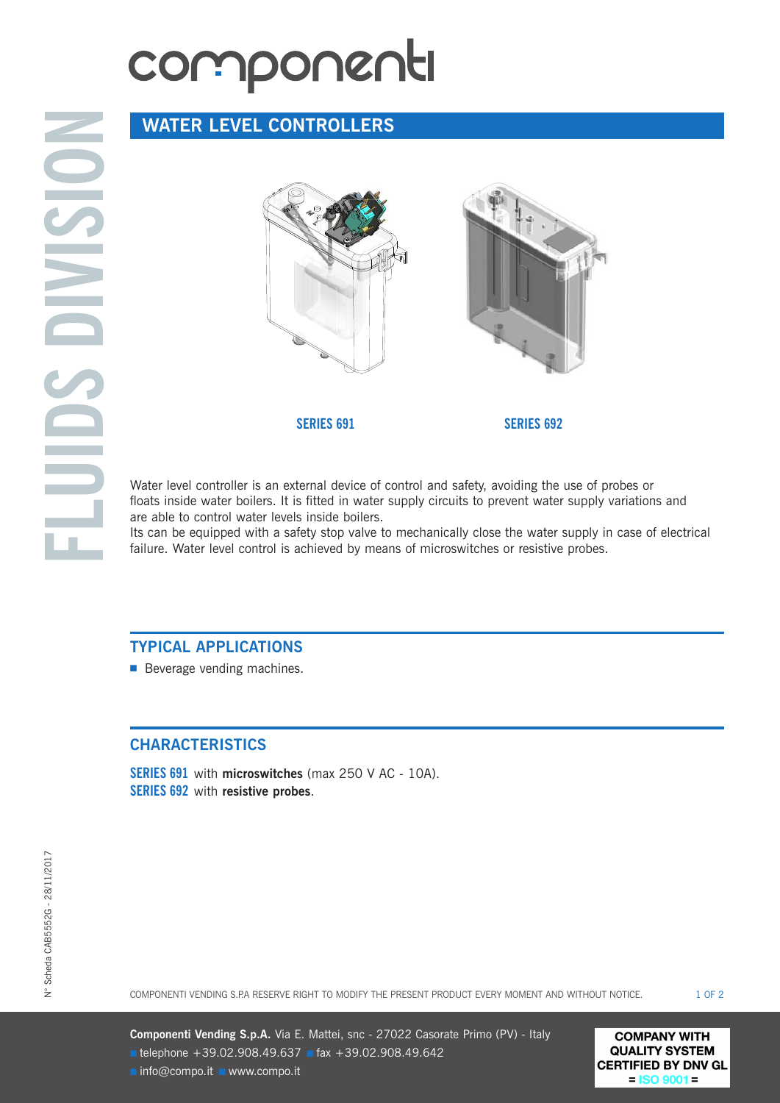## componenti

### **WATER LEVEL CONTROLLERS**



Water level controller is an external device of control and safety, avoiding the use of probes or floats inside water boilers. It is fitted in water supply circuits to prevent water supply variations and are able to control water levels inside boilers.

Its can be equipped with a safety stop valve to mechanically close the water supply in case of electrical failure. Water level control is achieved by means of microswitches or resistive probes.

#### **TYPICAL APPLICATIONS**

■ Beverage vending machines.

#### **CHARACTERISTICS**

**SERIES 691** with **microswitches** (max 250 V AC - 10A). **SERIES 692** with **resistive probes**.

**Componenti Vending S.p.A.** Via E. Mattei, snc - 27022 Casorate Primo (PV) - Italy **■** telephone +39.02.908.49.637 **■** fax +39.02.908.49.642 **■** info@compo.it **■** www.compo.it

**COMPANY WITH QUALITY SYSTEM CERTIFIED BY DNV GL**  $=$  ISO 9001 $=$